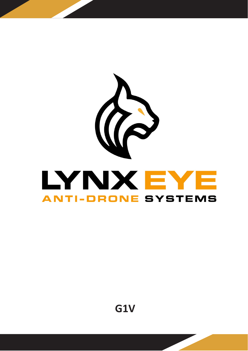

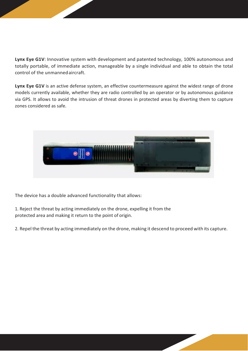**Lynx Eye G1V**: Innovative system with development and patented technology, 100% autonomous and totally portable, of immediate action, manageable by a single individual and able to obtain the total control of the unmannedaircraft.

**Lynx Eye G1V** is an active defense system, an effective countermeasure against the widest range of drone models currently available, whether they are radio controlled by an operator or by autonomous guidance via GPS. It allows to avoid the intrusion of threat drones in protected areas by diverting them to capture zones considered as safe.



The device has a double advanced functionality that allows:

1. Reject the threat by acting immediately on the drone, expelling it from the protected area and making it return to the point of origin.

2. Repel the threat by acting immediately on the drone, making it descend to proceed with its capture.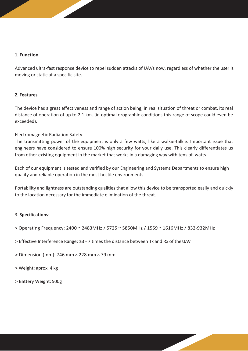## **1. Function**

Advanced ultra-fast response device to repel sudden attacks of UAVs now, regardless of whether the user is moving or static at a specific site.

## **2. Features**

The device has a great effectiveness and range of action being, in real situation of threat or combat, its real distance of operation of up to 2.1 km. (in optimal orographic conditions this range of scope could even be exceeded).

## Electromagnetic Radiation Safety

The transmitting power of the equipment is only a few watts, like a walkie-talkie. Important issue that engineers have considered to ensure 100% high security for your daily use. This clearly differentiates us from other existing equipment in the market that works in a damaging way with tens of watts.

Each of our equipment is tested and verified by our Engineering and Systems Departments to ensure high quality and reliable operation in the most hostile environments.

Portability and lightness are outstanding qualities that allow this device to be transported easily and quickly to the location necessary for the immediate elimination of the threat.

## 3. **Specifications**:

- > Operating Frequency: 2400 ~ 2483MHz / 5725 ~ 5850MHz / 1559 ~ 1616MHz / 832-932MHz
- > Effective Interference Range: ≥3 7 times the distance between Tx and Rx of the UAV
- > Dimension (mm): 746 mm × 228 mm × 79 mm
- > Weight: aprox. 4 kg
- > Battery Weight: 500g